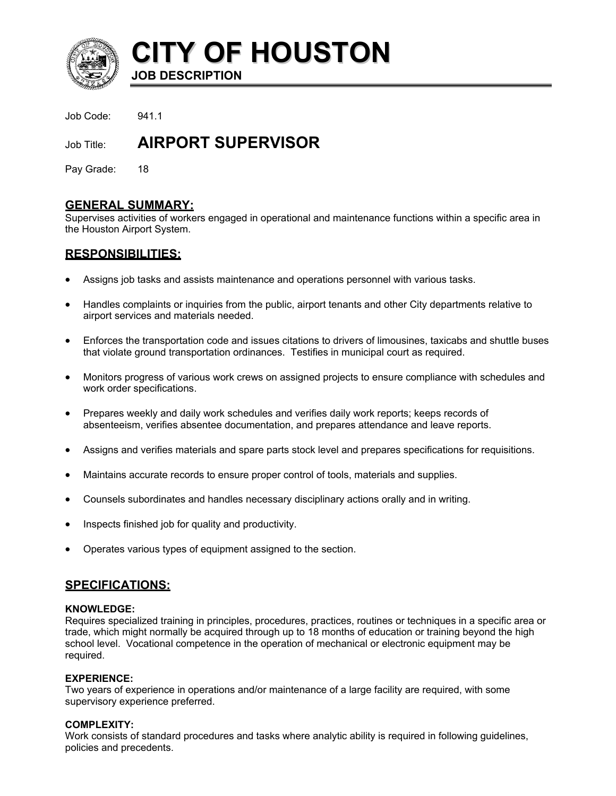

**CITY OF HOUSTON**

**JOB DESCRIPTION** 

Job Code: 941.1

# Job Title: **AIRPORT SUPERVISOR**

Pay Grade: 18

# **GENERAL SUMMARY:**

Supervises activities of workers engaged in operational and maintenance functions within a specific area in the Houston Airport System.

# **RESPONSIBILITIES:**

- Assigns job tasks and assists maintenance and operations personnel with various tasks.
- Handles complaints or inquiries from the public, airport tenants and other City departments relative to airport services and materials needed.
- Enforces the transportation code and issues citations to drivers of limousines, taxicabs and shuttle buses that violate ground transportation ordinances. Testifies in municipal court as required.
- Monitors progress of various work crews on assigned projects to ensure compliance with schedules and work order specifications.
- Prepares weekly and daily work schedules and verifies daily work reports; keeps records of absenteeism, verifies absentee documentation, and prepares attendance and leave reports.
- Assigns and verifies materials and spare parts stock level and prepares specifications for requisitions.
- Maintains accurate records to ensure proper control of tools, materials and supplies.
- Counsels subordinates and handles necessary disciplinary actions orally and in writing.
- Inspects finished job for quality and productivity.
- Operates various types of equipment assigned to the section.

## **SPECIFICATIONS:**

#### **KNOWLEDGE:**

Requires specialized training in principles, procedures, practices, routines or techniques in a specific area or trade, which might normally be acquired through up to 18 months of education or training beyond the high school level. Vocational competence in the operation of mechanical or electronic equipment may be required.

#### **EXPERIENCE:**

Two years of experience in operations and/or maintenance of a large facility are required, with some supervisory experience preferred.

#### **COMPLEXITY:**

Work consists of standard procedures and tasks where analytic ability is required in following guidelines, policies and precedents.